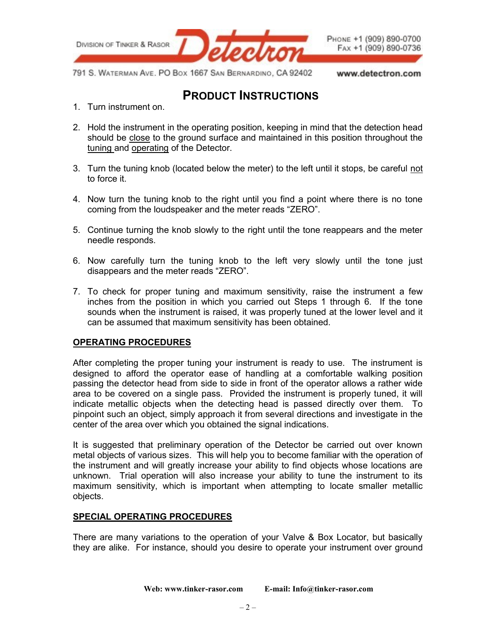

- 1. Turn instrument on.
- 2. Hold the instrument in the operating position, keeping in mind that the detection head should be close to the ground surface and maintained in this position throughout the tuning and operating of the Detector.
- 3. Turn the tuning knob (located below the meter) to the left until it stops, be careful not to force it.
- 4. Now turn the tuning knob to the right until you find a point where there is no tone coming from the loudspeaker and the meter reads "ZERO".
- 5. Continue turning the knob slowly to the right until the tone reappears and the meter needle responds.
- 6. Now carefully turn the tuning knob to the left very slowly until the tone just disappears and the meter reads "ZERO".
- 7. To check for proper tuning and maximum sensitivity, raise the instrument a few inches from the position in which you carried out Steps 1 through 6. If the tone sounds when the instrument is raised, it was properly tuned at the lower level and it can be assumed that maximum sensitivity has been obtained.

## **OPERATING PROCEDURES**

After completing the proper tuning your instrument is ready to use. The instrument is designed to afford the operator ease of handling at a comfortable walking position passing the detector head from side to side in front of the operator allows a rather wide area to be covered on a single pass. Provided the instrument is properly tuned, it will indicate metallic objects when the detecting head is passed directly over them. To pinpoint such an object, simply approach it from several directions and investigate in the center of the area over which you obtained the signal indications.

It is suggested that preliminary operation of the Detector be carried out over known metal objects of various sizes. This will help you to become familiar with the operation of the instrument and will greatly increase your ability to find objects whose locations are unknown. Trial operation will also increase your ability to tune the instrument to its maximum sensitivity, which is important when attempting to locate smaller metallic objects.

#### **SPECIAL OPERATING PROCEDURES**

There are many variations to the operation of your Valve & Box Locator, but basically they are alike. For instance, should you desire to operate your instrument over ground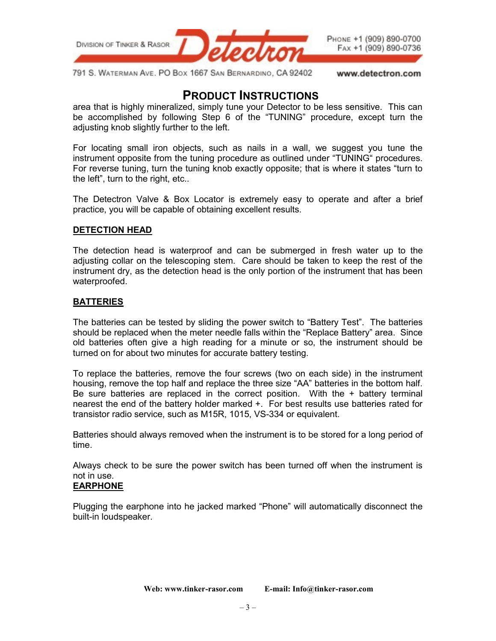

area that is highly mineralized, simply tune your Detector to be less sensitive. This can be accomplished by following Step 6 of the "TUNING" procedure, except turn the adjusting knob slightly further to the left.

For locating small iron objects, such as nails in a wall, we suggest you tune the instrument opposite from the tuning procedure as outlined under "TUNING" procedures. For reverse tuning, turn the tuning knob exactly opposite; that is where it states "turn to the left", turn to the right, etc..

The Detectron Valve & Box Locator is extremely easy to operate and after a brief practice, you will be capable of obtaining excellent results.

#### **DETECTION HEAD**

The detection head is waterproof and can be submerged in fresh water up to the adjusting collar on the telescoping stem. Care should be taken to keep the rest of the instrument dry, as the detection head is the only portion of the instrument that has been waterproofed.

### **BATTERIES**

The batteries can be tested by sliding the power switch to "Battery Test". The batteries should be replaced when the meter needle falls within the "Replace Battery" area. Since old batteries often give a high reading for a minute or so, the instrument should be turned on for about two minutes for accurate battery testing.

To replace the batteries, remove the four screws (two on each side) in the instrument housing, remove the top half and replace the three size "AA" batteries in the bottom half. Be sure batteries are replaced in the correct position. With the + battery terminal nearest the end of the battery holder marked +. For best results use batteries rated for transistor radio service, such as M15R, 1015, VS-334 or equivalent.

Batteries should always removed when the instrument is to be stored for a long period of time.

Always check to be sure the power switch has been turned off when the instrument is not in use.

## **EARPHONE**

Plugging the earphone into he jacked marked "Phone" will automatically disconnect the built-in loudspeaker.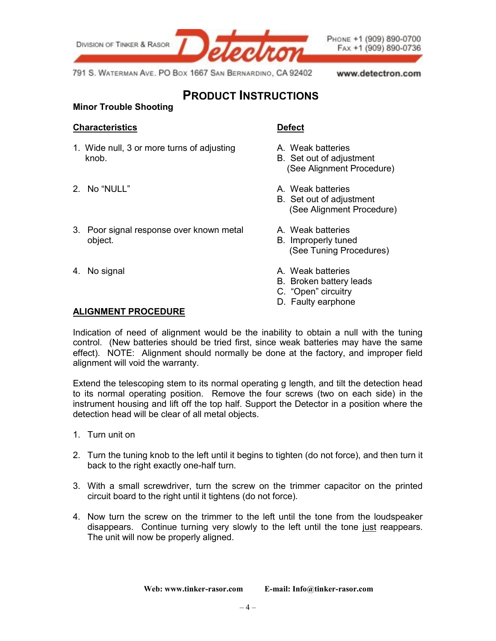

### **Minor Trouble Shooting**

#### **Characteristics Defect**

- 1. Wide null, 3 or more turns of adjusting The Meak batteries knob. B. Set out of adjustment
- 
- 3. Poor signal response over known metal A. Weak batteries object. The contract of the contract of the B. Improperly tuned
- 

- 
- (See Alignment Procedure)
- 2. No "NULL" A. Weak batteries
	- B. Set out of adjustment (See Alignment Procedure)
	-
	- (See Tuning Procedures)
- 4. No signal A. Weak batteries
	- B. Broken battery leads
	- C. "Open" circuitry
	- D. Faulty earphone

#### **ALIGNMENT PROCEDURE**

Indication of need of alignment would be the inability to obtain a null with the tuning control. (New batteries should be tried first, since weak batteries may have the same effect). NOTE: Alignment should normally be done at the factory, and improper field alignment will void the warranty.

Extend the telescoping stem to its normal operating g length, and tilt the detection head to its normal operating position. Remove the four screws (two on each side) in the instrument housing and lift off the top half. Support the Detector in a position where the detection head will be clear of all metal objects.

- 1. Turn unit on
- 2. Turn the tuning knob to the left until it begins to tighten (do not force), and then turn it back to the right exactly one-half turn.
- 3. With a small screwdriver, turn the screw on the trimmer capacitor on the printed circuit board to the right until it tightens (do not force).
- 4. Now turn the screw on the trimmer to the left until the tone from the loudspeaker disappears. Continue turning very slowly to the left until the tone just reappears. The unit will now be properly aligned.